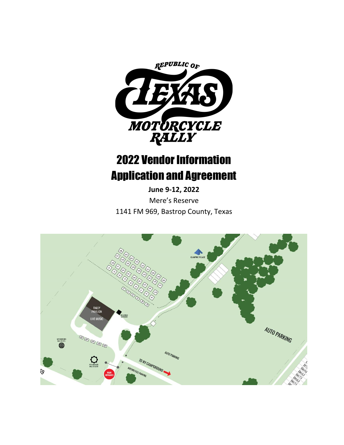

# 2022 Vendor Information Application and Agreement

**June 9-12, 2022** Mere's Reserve 1141 FM 969, Bastrop County, Texas

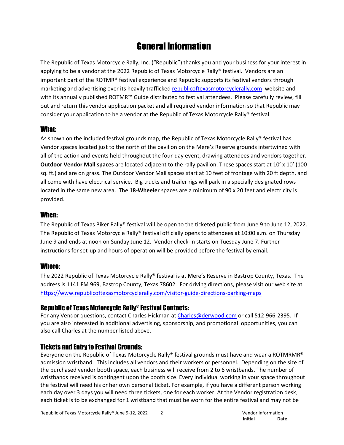# General Information

The Republic of Texas Motorcycle Rally, Inc. ("Republic") thanks you and your business for your interest in applying to be a vendor at the 2022 Republic of Texas Motorcycle Rally® festival. Vendors are an important part of the ROTMR® festival experience and Republic supports its festival vendors through marketing and advertising over its heavily trafficked [republicoftexasmotorcyclerally.com](https://www.republicoftexasmotorcyclerally.com/) website and with its annually published ROTMR™ Guide distributed to festival attendees. Please carefully review, fill out and return this vendor application packet and all required vendor information so that Republic may consider your application to be a vendor at the Republic of Texas Motorcycle Rally® festival.

## What:

As shown on the included festival grounds map, the Republic of Texas Motorcycle Rally® festival has Vendor spaces located just to the north of the pavilion on the Mere's Reserve grounds intertwined with all of the action and events held throughout the four-day event, drawing attendees and vendors together. **Outdoor Vendor Mall spaces** are located adjacent to the rally pavilion. These spaces start at 10' x 10' (100 sq. ft.) and are on grass. The Outdoor Vendor Mall spaces start at 10 feet of frontage with 20 ft depth, and all come with have electrical service. Big trucks and trailer rigs will park in a specially designated rows located in the same new area. The **18-Wheeler** spaces are a minimum of 90 x 20 feet and electricity is provided.

#### When:

The Republic of Texas Biker Rally® festival will be open to the ticketed public from June 9 to June 12, 2022. The Republic of Texas Motorcycle Rally® festival officially opens to attendees at 10:00 a.m. on Thursday June 9 and ends at noon on Sunday June 12. Vendor check-in starts on Tuesday June 7. Further instructions for set-up and hours of operation will be provided before the festival by email.

# Where:

The 2022 Republic of Texas Motorcycle Rally® festival is at Mere's Reserve in Bastrop County, Texas. The address is 1141 FM 969, Bastrop County, Texas 78602. For driving directions, please visit our web site at <https://www.republicoftexasmotorcyclerally.com/visitor-guide-directions-parking-maps>

## Republic of Texas Motorcycle Rally® Festival Contacts:

For any Vendor questions, contact Charles Hickman at [Charles@derwood.com](mailto:Charles@derwood.com) or call 512-966-2395. If you are also interested in additional advertising, sponsorship, and promotional opportunities, you can also call Charles at the number listed above.

# Tickets and Entry to Festival Grounds:

Everyone on the Republic of Texas Motorcycle Rally® festival grounds must have and wear a ROTMRMR® admission wristband. This includes all vendors and their workers or personnel. Depending on the size of the purchased vendor booth space, each business will receive from 2 to 6 wristbands. The number of wristbands received is contingent upon the booth size. Every individual working in your space throughout the festival will need his or her own personal ticket. For example, if you have a different person working each day over 3 days you will need three tickets, one for each worker. At the Vendor registration desk, each ticket is to be exchanged for 1 wristband that must be worn for the entire festival and may not be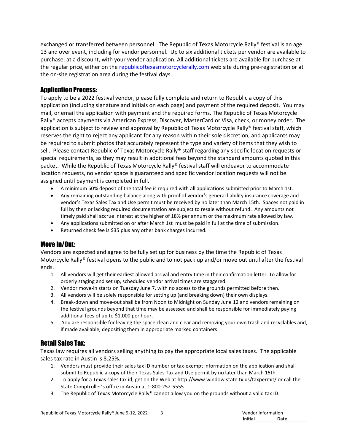exchanged or transferred between personnel. The Republic of Texas Motorcycle Rally® festival is an age 13 and over event, including for vendor personnel. Up to six additional tickets per vendor are available to purchase, at a discount, with your vendor application. All additional tickets are available for purchase at the regular price, either on the [republicoftexasmotorcyclerally.com](https://www.republicoftexasmotorcyclerally.com/) web site during pre-registration or at the on-site registration area during the festival days.

# Application Process:

To apply to be a 2022 festival vendor, please fully complete and return to Republic a copy of this application (including signature and initials on each page) and payment of the required deposit. You may mail, or email the application with payment and the required forms. The Republic of Texas Motorcycle Rally® accepts payments via American Express, Discover, MasterCard or Visa, check, or money order. The application is subject to review and approval by Republic of Texas Motorcycle Rally® festival staff, which reserves the right to reject any applicant for any reason within their sole discretion, and applicants may be required to submit photos that accurately represent the type and variety of items that they wish to sell. Please contact Republic of Texas Motorcycle Rally® staff regarding any specific location requests or special requirements, as they may result in additional fees beyond the standard amounts quoted in this packet. While the Republic of Texas Motorcycle Rally® festival staff will endeavor to accommodate location requests, no vendor space is guaranteed and specific vendor location requests will not be assigned until payment is completed in full.

- A minimum 50% deposit of the total fee is required with all applications submitted prior to March 1st.
- Any remaining outstanding balance along with proof of vendor's general liability insurance coverage and vendor's Texas Sales Tax and Use permit must be received by no later than March 15th. Spaces not paid in full by then or lacking required documentation are subject to resale without refund. Any amounts not timely paid shall accrue interest at the higher of 18% per annum or the maximum rate allowed by law.
- Any applications submitted on or after March 1st must be paid in full at the time of submission.
- Returned check fee is \$35 plus any other bank charges incurred.

#### Move In/Out:

Vendors are expected and agree to be fully set up for business by the time the Republic of Texas Motorcycle Rally® festival opens to the public and to not pack up and/or move out until after the festival ends.

- 1. All vendors will get their earliest allowed arrival and entry time in their confirmation letter. To allow for orderly staging and set up, scheduled vendor arrival times are staggered.
- 2. Vendor move-in starts on Tuesday June 7, with no access to the grounds permitted before then.
- 3. All vendors will be solely responsible for setting up (and breaking down) their own displays.
- 4. Break-down and move-out shall be from Noon to Midnight on Sunday June 12 and vendors remaining on the festival grounds beyond that time may be assessed and shall be responsible for immediately paying additional fees of up to \$1,000 per hour.
- 5. You are responsible for leaving the space clean and clear and removing your own trash and recyclables and, if made available, depositing them in appropriate marked containers.

## Retail Sales Tax:

Texas law requires all vendors selling anything to pay the appropriate local sales taxes. The applicable sales tax rate in Austin is 8.25%.

- 1. Vendors must provide their sales tax ID number or tax-exempt information on the application and shall submit to Republic a copy of their Texas Sales Tax and Use permit by no later than March 15th.
- 2. To apply for a Texas sales tax id, get on the Web at http://www.window.state.tx.us/taxpermit/ or call the State Comptroller's office in Austin at 1-800-252-5555
- 3. The Republic of Texas Motorcycle Rally® cannot allow you on the grounds without a valid tax ID.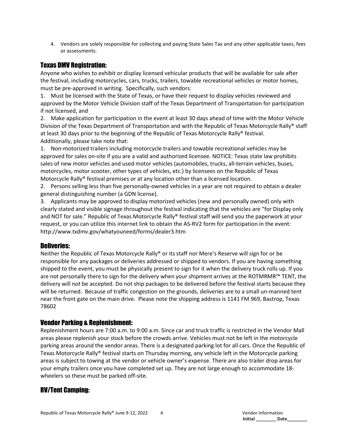4. Vendors are solely responsible for collecting and paying State Sales Tax and any other applicable taxes, fees or assessments.

#### Texas DMV Registration:

Anyone who wishes to exhibit or display licensed vehicular products that will be available for sale after the festival, including motorcycles, cars, trucks, trailers, towable recreational vehicles or motor homes, must be pre-approved in writing. Specifically, such vendors:

1. Must be licensed with the State of Texas, or have their request to display vehicles reviewed and approved by the Motor Vehicle Division staff of the Texas Department of Transportation for participation if not licensed, and

2. Make application for participation in the event at least 30 days ahead of time with the Motor Vehicle Division of the Texas Department of Transportation and with the Republic of Texas Motorcycle Rally® staff at least 30 days prior to the beginning of the Republic of Texas Motorcycle Rally® festival. Additionally, please take note that:

1. Non-motorized trailers including motorcycle trailers and towable recreational vehicles may be approved for sales on-site if you are a valid and authorized licensee. NOTICE: Texas state law prohibits sales of new motor vehicles and used motor vehicles (automobiles, trucks, all-terrain vehicles, buses, motorcycles, motor scooter, other types of vehicles, etc.) by licensees on the Republic of Texas Motorcycle Rally® festival premises or at any location other than a licensed location.

2. Persons selling less than five personally-owned vehicles in a year are not required to obtain a dealer general distinguishing number (a GDN license).

3. Applicants may be approved to display motorized vehicles (new and personally owned) only with clearly stated and visible signage throughout the festival indicating that the vehicles are "for Display only and NOT for sale." Republic of Texas Motorcycle Rally® festival staff will send you the paperwork at your request, or you can utilize this internet link to obtain the AS-RV2 form for participation in the event: <http://www.txdmv.gov/whatyouneed/forms/dealer3.htm>

#### Deliveries:

Neither the Republic of Texas Motorcycle Rally® or its staff nor Mere's Reserve will sign for or be responsible for any packages or deliveries addressed or shipped to vendors. If you are having something shipped to the event, you must be physically present to sign for it when the delivery truck rolls up. If you are not personally there to sign for the delivery when your shipment arrives at the ROTMRMR™ TENT, the delivery will not be accepted. Do not ship packages to be delivered before the festival starts because they will be returned. Because of traffic congestion on the grounds, deliveries are to a small un-manned tent near the front gate on the main drive. Please note the shipping address is 1141 FM 969, Bastrop, Texas 78602

#### Vendor Parking & Replenishment:

Replenishment hours are 7:00 a.m. to 9:00 a.m. Since car and truck traffic is restricted in the Vendor Mall areas please replenish your stock before the crowds arrive. Vehicles must not be left in the motorcycle parking areas around the vendor areas. There is a designated parking lot for all cars. Once the Republic of Texas Motorcycle Rally® festival starts on Thursday morning, any vehicle left in the Motorcycle parking areas is subject to towing at the vendor or vehicle owner's expense. There are also trailer drop areas for your empty trailers once you have completed set up. They are not large enough to accommodate 18 wheelers so these must be parked off-site.

#### RV/Tent Camping: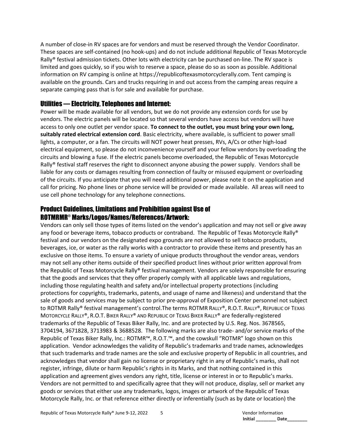A number of close-in RV spaces are for vendors and must be reserved through the Vendor Coordinator. These spaces are self-contained (no hook-ups) and do not include additional Republic of Texas Motorcycle Rally® festival admission tickets. Other lots with electricity can be purchased on-line. The RV space is limited and goes quickly, so if you wish to reserve a space, please do so as soon as possible. Additional information on RV camping is online at https://republicoftexasmotorcyclerally.com. Tent camping is available on the grounds. Cars and trucks requiring in and out access from the camping areas require a separate camping pass that is for sale and available for purchase.

## Utilities — Electricity, Telephones and Internet:

Power will be made available for all vendors, but we do not provide any extension cords for use by vendors. The electric panels will be located so that several vendors have access but vendors will have access to only one outlet per vendor space. **To connect to the outlet, you must bring your own long, suitably rated electrical extension cord**. Basic electricity, where available, is sufficient to power small lights, a computer, or a fan. The circuits will NOT power heat presses, RVs, A/Cs or other high-load electrical equipment, so please do not inconvenience yourself and your fellow vendors by overloading the circuits and blowing a fuse. If the electric panels become overloaded, the Republic of Texas Motorcycle Rally® festival staff reserves the right to disconnect anyone abusing the power supply. Vendors shall be liable for any costs or damages resulting from connection of faulty or misused equipment or overloading of the circuits. If you anticipate that you will need additional power, please note it on the application and call for pricing. No phone lines or phone service will be provided or made available. All areas will need to use cell phone technology for any telephone connections.

# Product Guidelines, Limitations and Prohibition against Use of ROTMRMR® Marks/Logos/Names/References/Artwork:

Vendors can only sell those types of items listed on the vendor's application and may not sell or give away any food or beverage items, tobacco products or contraband. The Republic of Texas Motorcycle Rally® festival and our vendors on the designated expo grounds are not allowed to sell tobacco products, beverages, ice, or water as the rally works with a contractor to provide these items and presently has an exclusive on those items. To ensure a variety of unique products throughout the vendor areas, vendors may not sell any other items outside of their specified product lines without prior written approval from the Republic of Texas Motorcycle Rally® festival management. Vendors are solely responsible for ensuring that the goods and services that they offer properly comply with all applicable laws and regulations, including those regulating health and safety and/or intellectual property protections (including protections for copyrights, trademarks, patents, and usage of name and likeness) and understand that the sale of goods and services may be subject to prior pre-approval of Exposition Center personnel not subject to ROTMR Rally® festival management's control.The terms ROTMR RALLY®, R.O.T. RALLY®, REPUBLIC OF TEXAS MOTORCYCLE RALLY®, R.O.T. BIKER RALLY® AND REPUBLIC OF TEXAS BIKER RALLY® are federally-registered trademarks of the Republic of Texas Biker Rally, Inc. and are protected by U.S. Reg. Nos. 3678565, 3704194, 3671828, 3713983 & 3688528. The following marks are also trade- and/or service marks of the Republic of Texas Biker Rally, Inc.: ROTMR™, R.O.T.™, and the cowskull "ROTMR" logo shown on this application. Vendor acknowledges the validity of Republic's trademarks and trade names, acknowledges that such trademarks and trade names are the sole and exclusive property of Republic in all countries, and acknowledges that vendor shall gain no license or proprietary right in any of Republic's marks, shall not register, infringe, dilute or harm Republic's rights in its Marks, and that nothing contained in this application and agreement gives vendors any right, title, license or interest in or to Republic's marks. Vendors are not permitted to and specifically agree that they will not produce, display, sell or market any goods or services that either use any trademarks, logos, images or artwork of the Republic of Texas Motorcycle Rally, Inc. or that reference either directly or inferentially (such as by date or location) the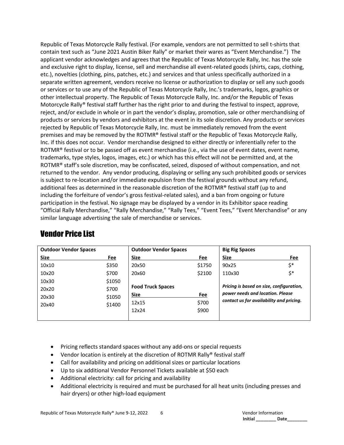Republic of Texas Motorcycle Rally festival. (For example, vendors are not permitted to sell t-shirts that contain text such as "June 2021 Austin Biker Rally" or market their wares as "Event Merchandise.") The applicant vendor acknowledges and agrees that the Republic of Texas Motorcycle Rally, Inc. has the sole and exclusive right to display, license, sell and merchandise all event-related goods (shirts, caps, clothing, etc.), novelties (clothing, pins, patches, etc.) and services and that unless specifically authorized in a separate written agreement, vendors receive no license or authorization to display or sell any such goods or services or to use any of the Republic of Texas Motorcycle Rally, Inc.'s trademarks, logos, graphics or other intellectual property. The Republic of Texas Motorcycle Rally, Inc. and/or the Republic of Texas Motorcycle Rally® festival staff further has the right prior to and during the festival to inspect, approve, reject, and/or exclude in whole or in part the vendor's display, promotion, sale or other merchandising of products or services by vendors and exhibitors at the event in its sole discretion. Any products or services rejected by Republic of Texas Motorcycle Rally, Inc. must be immediately removed from the event premises and may be removed by the ROTMR® festival staff or the Republic of Texas Motorcycle Rally, Inc. if this does not occur. Vendor merchandise designed to either directly or inferentially refer to the ROTMR® festival or to be passed off as event merchandise (i.e., via the use of event dates, event name, trademarks, type styles, logos, images, etc.) or which has this effect will not be permitted and, at the ROTMR® staff's sole discretion, may be confiscated, seized, disposed of without compensation, and not returned to the vendor. Any vendor producing, displaying or selling any such prohibited goods or services is subject to re-location and/or immediate expulsion from the festival grounds without any refund, additional fees as determined in the reasonable discretion of the ROTMR® festival staff (up to and including the forfeiture of vendor's gross festival-related sales), and a ban from ongoing or future participation in the festival. No signage may be displayed by a vendor in its Exhibitor space reading "Official Rally Merchandise," "Rally Merchandise," "Rally Tees," "Event Tees," "Event Merchandise" or any similar language advertising the sale of merchandise or services.

# Vendor Price List

| <b>Outdoor Vendor Spaces</b> |        | <b>Outdoor Vendor Spaces</b>                                         |        | <b>Big Rig Spaces</b>                                                        |     |
|------------------------------|--------|----------------------------------------------------------------------|--------|------------------------------------------------------------------------------|-----|
| Size                         | Fee    | Size                                                                 | Fee    | <b>Size</b>                                                                  | Fee |
| 10x10                        | \$350  | 20x50                                                                | \$1750 | 90x25                                                                        | \$* |
| 10x20                        | \$700  | 20x60                                                                | \$2100 | 110x30                                                                       | \$* |
| 10x30                        | \$1050 |                                                                      |        |                                                                              |     |
| 20x20                        | \$700  | Pricing is based on size, configuration,<br><b>Food Truck Spaces</b> |        |                                                                              |     |
| 20x30                        | \$1050 | <b>Size</b>                                                          | Fee    | power needs and location. Please<br>contact us for availability and pricing. |     |
| 20x40                        | \$1400 | 12x15                                                                | \$700  |                                                                              |     |
|                              |        | 12x24                                                                | \$900  |                                                                              |     |
|                              |        |                                                                      |        |                                                                              |     |

- Pricing reflects standard spaces without any add-ons or special requests
- Vendor location is entirely at the discretion of ROTMR Rally® festival staff
- Call for availability and pricing on additional sizes or particular locations
- Up to six additional Vendor Personnel Tickets available at \$50 each
- Additional electricity: call for pricing and availability
- Additional electricity is required and must be purchased for all heat units (including presses and hair dryers) or other high-load equipment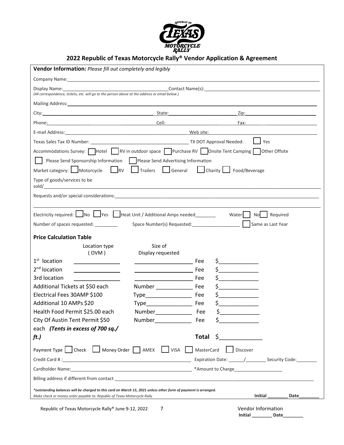

# **2022 Republic of Texas Motorcycle Rally® Vendor Application & Agreement**

| Vendor Information: Please fill out completely and legibly                                                                                                                                                                     |                                                                                                                        |                   |                                                                                                                                                                                                                                                                                                  |                                                                                                                                                                                                                                |  |  |
|--------------------------------------------------------------------------------------------------------------------------------------------------------------------------------------------------------------------------------|------------------------------------------------------------------------------------------------------------------------|-------------------|--------------------------------------------------------------------------------------------------------------------------------------------------------------------------------------------------------------------------------------------------------------------------------------------------|--------------------------------------------------------------------------------------------------------------------------------------------------------------------------------------------------------------------------------|--|--|
| Company Name: Name and Second Company Name and Second Company Name and Second Company Name and Second Company of the Second Company of the Second Company of the Second Company of the Second Company of the Second Company of |                                                                                                                        |                   |                                                                                                                                                                                                                                                                                                  |                                                                                                                                                                                                                                |  |  |
| Display Name:<br>(All correspondence, tickets, etc. will go to the person above at the address or email below.)                                                                                                                | <u>Contact Name(s): Example 2001 and Contact Name(s):</u>                                                              |                   |                                                                                                                                                                                                                                                                                                  |                                                                                                                                                                                                                                |  |  |
| Mailing Address: Note that the state of the state of the state of the state of the state of the state of the state of the state of the state of the state of the state of the state of the state of the state of the state of  |                                                                                                                        |                   |                                                                                                                                                                                                                                                                                                  |                                                                                                                                                                                                                                |  |  |
| City: State: State: State: State: State: State: State: State: State: State: State: State: State: State: State: State: State: State: State: State: State: State: State: State: State: State: State: State: State: State: State: |                                                                                                                        |                   |                                                                                                                                                                                                                                                                                                  | Zip: the contract of the contract of the contract of the contract of the contract of the contract of the contract of the contract of the contract of the contract of the contract of the contract of the contract of the contr |  |  |
| Phone: Cell: Cell: Cell: Cell: Cell: Cell: Cell: Cell: Cell: Cell: Cell: Cell: Cell: Cell: Cell: Cell: Cell: Cell: Cell: Cell: Cell: Cell: Cell: Cell: Cell: Cell: Cell: Cell: Cell: Cell: Cell: Cell: Cell: Cell: Cell: Cell: |                                                                                                                        |                   |                                                                                                                                                                                                                                                                                                  |                                                                                                                                                                                                                                |  |  |
| E-mail Address: Web site:                                                                                                                                                                                                      |                                                                                                                        |                   |                                                                                                                                                                                                                                                                                                  |                                                                                                                                                                                                                                |  |  |
|                                                                                                                                                                                                                                |                                                                                                                        |                   |                                                                                                                                                                                                                                                                                                  | Yes                                                                                                                                                                                                                            |  |  |
| Accommodations Survey: Hotel RV in outdoor space PPurchase RV Onsite Tent Camping Other Offsite                                                                                                                                |                                                                                                                        |                   |                                                                                                                                                                                                                                                                                                  |                                                                                                                                                                                                                                |  |  |
| Please Send Sponsorship Information   Please Send Advertising Information                                                                                                                                                      |                                                                                                                        |                   |                                                                                                                                                                                                                                                                                                  |                                                                                                                                                                                                                                |  |  |
| Market category: Motorcycle RV   Trailers   General   Charity   Food/Beverage                                                                                                                                                  |                                                                                                                        |                   |                                                                                                                                                                                                                                                                                                  |                                                                                                                                                                                                                                |  |  |
| Type of goods/services to be                                                                                                                                                                                                   |                                                                                                                        |                   |                                                                                                                                                                                                                                                                                                  |                                                                                                                                                                                                                                |  |  |
|                                                                                                                                                                                                                                |                                                                                                                        |                   |                                                                                                                                                                                                                                                                                                  |                                                                                                                                                                                                                                |  |  |
|                                                                                                                                                                                                                                |                                                                                                                        |                   |                                                                                                                                                                                                                                                                                                  |                                                                                                                                                                                                                                |  |  |
| Electricity required:   No   Yes   Heat Unit / Additional Amps needed                                                                                                                                                          |                                                                                                                        |                   | Water: No Required                                                                                                                                                                                                                                                                               |                                                                                                                                                                                                                                |  |  |
| Number of spaces requested:                                                                                                                                                                                                    |                                                                                                                        |                   |                                                                                                                                                                                                                                                                                                  | Same as Last Year                                                                                                                                                                                                              |  |  |
| <b>Price Calculation Table</b>                                                                                                                                                                                                 |                                                                                                                        |                   |                                                                                                                                                                                                                                                                                                  |                                                                                                                                                                                                                                |  |  |
| Location type                                                                                                                                                                                                                  | Size of                                                                                                                |                   |                                                                                                                                                                                                                                                                                                  |                                                                                                                                                                                                                                |  |  |
| (OVM)                                                                                                                                                                                                                          | Display requested                                                                                                      |                   |                                                                                                                                                                                                                                                                                                  |                                                                                                                                                                                                                                |  |  |
| $1st$ location                                                                                                                                                                                                                 |                                                                                                                        | Fee               | $\zeta$ and $\zeta$                                                                                                                                                                                                                                                                              |                                                                                                                                                                                                                                |  |  |
| 2 <sup>nd</sup> location                                                                                                                                                                                                       | <u>na and a state of the state of the state of the state of the state of the state of the state of the state of th</u> |                   | $\mathsf{S}$ and $\mathsf{S}$ and $\mathsf{S}$ and $\mathsf{S}$ and $\mathsf{S}$ and $\mathsf{S}$ and $\mathsf{S}$ and $\mathsf{S}$ and $\mathsf{S}$ and $\mathsf{S}$ and $\mathsf{S}$ and $\mathsf{S}$ and $\mathsf{S}$ and $\mathsf{S}$ and $\mathsf{S}$ and $\mathsf{S}$ and $\mathsf{S}$ and |                                                                                                                                                                                                                                |  |  |
| 3rd location                                                                                                                                                                                                                   | Fee                                                                                                                    |                   |                                                                                                                                                                                                                                                                                                  |                                                                                                                                                                                                                                |  |  |
| Additional Tickets at \$50 each                                                                                                                                                                                                | Number Fee                                                                                                             |                   | $\mathsf{S}$ and $\mathsf{S}$ and $\mathsf{S}$ and $\mathsf{S}$                                                                                                                                                                                                                                  |                                                                                                                                                                                                                                |  |  |
| Electrical Fees 30AMP \$100                                                                                                                                                                                                    |                                                                                                                        | Fee               |                                                                                                                                                                                                                                                                                                  |                                                                                                                                                                                                                                |  |  |
| Additional 10 AMPs \$20                                                                                                                                                                                                        | Type Fee                                                                                                               |                   | $\zeta$                                                                                                                                                                                                                                                                                          |                                                                                                                                                                                                                                |  |  |
| Health Food Permit \$25.00 each                                                                                                                                                                                                | Number Fee                                                                                                             |                   | $\zeta$ and $\zeta$                                                                                                                                                                                                                                                                              |                                                                                                                                                                                                                                |  |  |
| City Of Austin Tent Permit \$50                                                                                                                                                                                                | Number_                                                                                                                | Fee               | \$                                                                                                                                                                                                                                                                                               |                                                                                                                                                                                                                                |  |  |
| each (Tents in excess of 700 sq./                                                                                                                                                                                              |                                                                                                                        |                   |                                                                                                                                                                                                                                                                                                  |                                                                                                                                                                                                                                |  |  |
| ft.)                                                                                                                                                                                                                           |                                                                                                                        | Total             | S                                                                                                                                                                                                                                                                                                |                                                                                                                                                                                                                                |  |  |
| Payment Type Check   Money Order AMEX   VISA   MasterCard<br>Discover                                                                                                                                                          |                                                                                                                        |                   |                                                                                                                                                                                                                                                                                                  |                                                                                                                                                                                                                                |  |  |
|                                                                                                                                                                                                                                |                                                                                                                        |                   |                                                                                                                                                                                                                                                                                                  | Expiration Date: ______/______________ Security Code:__________                                                                                                                                                                |  |  |
|                                                                                                                                                                                                                                |                                                                                                                        | *Amount to Charge |                                                                                                                                                                                                                                                                                                  |                                                                                                                                                                                                                                |  |  |
|                                                                                                                                                                                                                                |                                                                                                                        |                   |                                                                                                                                                                                                                                                                                                  |                                                                                                                                                                                                                                |  |  |
| *outstanding balances will be charged to this card on March 15, 2021 unless other form of payment is arranged.<br>Initial<br>Date<br>Make check or money order payable to: Republic of Texas Motorcycle Rally                  |                                                                                                                        |                   |                                                                                                                                                                                                                                                                                                  |                                                                                                                                                                                                                                |  |  |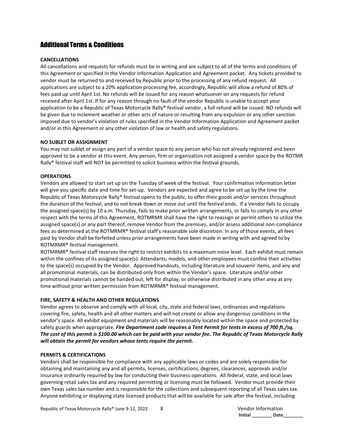## Additional Terms & Conditions

#### **CANCELLATIONS**

All cancellations and requests for refunds must be in writing and are subject to all of the terms and conditions of this Agreement or specified in the Vendor Information Application and Agreement packet. Any tickets provided to vendor must be returned to and received by Republic prior to the processing of any refund request. All applications are subject to a 20% application processing fee, accordingly, Republic will allow a refund of 80% of fees paid up until April 1st. No refunds will be issued for any reason whatsoever on any requests for refund received after April 1st. If for any reason through no fault of the vendor Republic is unable to accept your application to be a Republic of Texas Motorcycle Rally® festival vendor, a full refund will be issued. NO refunds will be given due to inclement weather or other acts of nature or resulting from any expulsion or any other sanction imposed due to vendor's violation of rules specified in the Vendor Information Application and Agreement packet and/or in this Agreement or any other violation of law or health and safety regulations.

#### **NO SUBLET OR ASSIGNMENT**

You may not sublet or assign any part of a vendor space to any person who has not already registered and been approved to be a vendor at this event. Any person, firm or organization not assigned a vendor space by the ROTMR Rally® festival staff will NOT be permitted to solicit business within the festival grounds.

#### **OPERATIONS**

Vendors are allowed to start set up on the Tuesday of week of the festival. Your confirmation information letter will give you specific date and time for set-up. Vendors are expected and agree to be set up by the time the Republic of Texas Motorcycle Rally® festival opens to the public, to offer their goods and/or services throughout the duration of the festival, and to not break down or move out until the festival ends. If a Vendor fails to occupy the assigned space(s) by 10 a.m. Thursday, fails to make prior written arrangements, or fails to comply in any other respect with the terms of this Agreement, ROTMRMR shall have the right to reassign or permit others to utilize the assigned space(s) or any part thereof, remove Vendor from the premises, and/or assess additional non-compliance fees as determined at the ROTMRMR® festival staff's reasonable sole discretion. In any of those events, all fees paid by Vendor shall be forfeited unless prior arrangements have been made in writing with and agreed to by ROTMRMR® festival management.

ROTMRMR® festival staff reserves the right to restrict exhibits to a maximum noise level. Each exhibit must remain within the confines of its assigned space(s). Attendants, models, and other employees must confine their activities to the space(s) occupied by the Vendor. Approved handouts, including literature and souvenir items, and any and all promotional materials, can be distributed only from within the Vendor's space. Literature and/or other promotional materials cannot be handed out, left for display, or otherwise distributed in any other area at any time without prior written permission from ROTMRMR® festival management.

#### **FIRE, SAFETY & HEALTH AND OTHER REGULATIONS**

Vendor agrees to observe and comply with all local, city, state and federal laws, ordinances and regulations covering fire, safety, health and all other matters and will not create or allow any dangerous conditions in the vendor's space. All exhibit equipment and materials will be reasonably located within the space and protected by safety guards when appropriate. *Fire Department code requires a Tent Permit for tents in excess of 700 ft./sq. The cost of this permit is \$100.00 which can be paid with your vendor fee. The Republic of Texas Motorcycle Rally will obtain the permit for vendors whose tents require the permit.*

#### **PERMITS & CERTIFICATIONS**

Vendors shall be responsible for compliance with any applicable laws or codes and are solely responsible for obtaining and maintaining any and all permits, licenses, certifications, degrees, clearances, approvals and/or insurance ordinarily required by law for conducting their business operations. All federal, state, and local laws governing retail sales tax and any required permitting or licensing must be followed. Vendor must provide their own Texas sales tax number and is responsible for the collections and subsequent reporting of all Texas sales tax. Anyone exhibiting or displaying state licensed products that will be available for sale after the festival, including

**Initial \_\_\_\_\_\_\_\_ Date\_\_\_\_\_\_\_\_**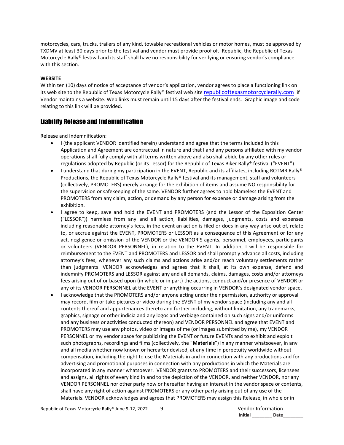motorcycles, cars, trucks, trailers of any kind, towable recreational vehicles or motor homes, must be approved by TXDMV at least 30 days prior to the festival and vendor must provide proof of. Republic, the Republic of Texas Motorcycle Rally® festival and its staff shall have no responsibility for verifying or ensuring vendor's compliance with this section.

#### **WEBSITE**

Within ten (10) days of notice of acceptance of vendor's application, vendor agrees to place a functioning link on its web site to the Republic of Texas Motorcycle Rally® festival web site [republicoftexasmotorcyclerally.com](https://www.republicoftexasmotorcyclerally.com/) if Vendor maintains a website. Web links must remain until 15 days after the festival ends. Graphic image and code relating to this link will be provided.

#### Liability Release and Indemnification

Release and Indemnification:

- I (the applicant VENDOR identified herein) understand and agree that the terms included in this Application and Agreement are contractual in nature and that I and any persons affiliated with my vendor operations shall fully comply with all terms written above and also shall abide by any other rules or regulations adopted by Republic (or its Lessor) for the Republic of Texas Biker Rally® festival ("EVENT").
- I understand that during my participation in the EVENT, Republic and its affiliates, including ROTMR Rally® Productions, the Republic of Texas Motorcycle Rally® festival and its management, staff and volunteers (collectively, PROMOTERS) merely arrange for the exhibition of items and assume NO responsibility for the supervision or safekeeping of the same. VENDOR further agrees to hold blameless the EVENT and PROMOTERS from any claim, action, or demand by any person for expense or damage arising from the exhibition.
- I agree to keep, save and hold the EVENT and PROMOTERS (and the Lessor of the Exposition Center ("LESSOR")) harmless from any and all action, liabilities, damages, judgments, costs and expenses including reasonable attorney's fees, in the event an action is filed or does in any way arise out of, relate to, or accrue against the EVENT, PROMOTERS or LESSOR as a consequence of this Agreement or for any act, negligence or omission of the VENDOR or the VENDOR'S agents, personnel, employees, participants or volunteers (VENDOR PERSONNEL), in relation to the EVENT. In addition, I will be responsible for reimbursement to the EVENT and PROMOTERS and LESSOR and shall promptly advance all costs, including attorney's fees, whenever any such claims and actions arise and/or reach voluntary settlements rather than judgments. VENDOR acknowledges and agrees that it shall, at its own expense, defend and indemnify PROMOTERS and LESSOR against any and all demands, claims, damages, costs and/or attorneys fees arising out of or based upon (in whole or in part) the actions, conduct and/or presence of VENDOR or any of its VENDOR PERSONNEL at the EVENT or anything occurring in VENDOR's designated vendor space.
- I acknowledge that the PROMOTERS and/or anyone acting under their permission, authority or approval may record, film or take pictures or video during the EVENT of my vendor space (including any and all contents thereof and appurtenances thereto and further including, without limitation, any trademarks, graphics, signage or other indicia and any logos and verbiage contained on such signs and/or uniforms and any business or activities conducted thereon) and VENDOR PERSONNEL and agree that EVENT and PROMOTERS may use any photos, video or images of me (or images submitted by me), my VENDOR PERSONNEL or my vendor space for publicizing the EVENT or future EVENTs and to exhibit and exploit such photographs, recordings and films (collectively, the "**Materials**") in any manner whatsoever, in any and all media whether now known or hereafter devised, at any time in perpetuity worldwide without compensation, including the right to use the Materials in and in connection with any productions and for advertising and promotional purposes in connection with any productions in which the Materials are incorporated in any manner whatsoever. VENDOR grants to PROMOTERS and their successors, licensees and assigns, all rights of every kind in and to the depiction of the VENDOR, and neither VENDOR, nor any VENDOR PERSONNEL nor other party now or hereafter having an interest in the vendor space or contents, shall have any right of action against PROMOTERS or any other party arising out of any use of the Materials. VENDOR acknowledges and agrees that PROMOTERS may assign this Release, in whole or in

Republic of Texas Motorcycle Rally® June 9-12, 2022 9 9 Vendor Information